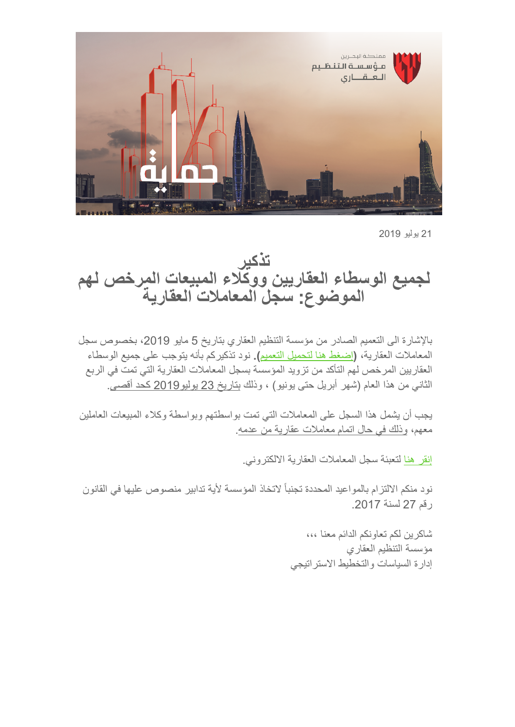

21 یولیو 2019

**تذكیر لجمیع الوسطاء العقاریین ووكلاء المبیعات المرخص لھم الموضوع: سجل المعاملات العقاریة**

بالإشارة الى التعمیم الصادر من مؤسسة التنظیم العقاري بتاریخ 5 مایو ،2019 بخصوص سجل المعاملات العقاریة، **(**[إضغط ھنا لتحمیل التعمیم](https://mailchi.mp/6865d291effc/invitation-to-seminar-bahrain-real-estate-looking-to-the-future-gulf-property-show-25-apr-355711?e=%5BUNIQID%5D&utm_source=RERA+Licensed+Brokers+%26+Sales+Agents+18072019&utm_campaign=484326e3ea-CAMPAIGN_GULF+PROPERTY_SHOW_COPY_01&utm_medium=email&utm_term=0_3350a7719e-484326e3ea-%5BLIST_EMAIL_ID%5D&ct=t%28CAMPAIGN_GULF+PROPERTY_SHOW_COPY_01%29)**).** نود تذكیركم بأنھ یتوجب على جمیع الوسطاء العقاریین المرخص لھم التأكد من تزوید المؤسسة بسجل المعاملات العقاریة التي تمت في الربع الثاني من ھذا العام (شھر أبریل حتى یونیو) ، وذلك بتاریخ 23 یولیو2019 كحد أقصى.

یجب أن یشمل ھذا السجل على المعاملات التي تمت بواسطتھم وبواسطة وكلاء المبیعات العاملین معھم، وذلك في حال اتمام معاملات عقاریة من عدمھ.

إنقر ھنا لتعبئة سجل المعاملات العقاریة الالكتروني.

نود منكم الالتزام بالمواعید المحددة تجنباً لاتخاذ المؤسسة لأیة تدابیر منصوص علیھا في القانون رقم 27 لسنة .2017

> شاكرین لكم تعاونكم الدائم معنا ،،، [مؤسسة](https://rera.us18.list-manage.com/track/click?u=19ee4dd5d83746dcf3a98ff0f&id=35b02140bc&e=634a2e9629&utm_source=RERA+Licensed+Brokers+%26+Sales+Agents+18072019&utm_campaign=484326e3ea-CAMPAIGN_GULF+PROPERTY_SHOW_COPY_01&utm_medium=email&utm_term=0_3350a7719e-484326e3ea-%5BLIST_EMAIL_ID%5D&ct=t%28CAMPAIGN_GULF+PROPERTY_SHOW_COPY_01%29) التنظیم العقاري إدارة السیاسات والتخطیط الاستراتیجي